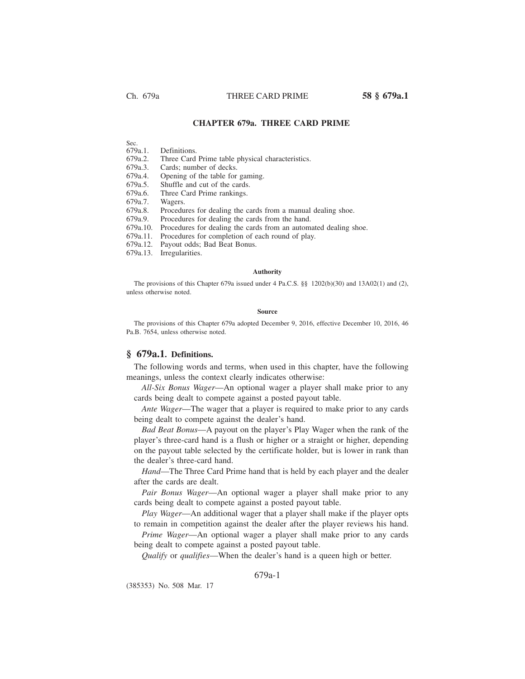# **CHAPTER 679a. THREE CARD PRIME**

Sec.<br>679a.1.

Definitions.

679a.2. Three Card Prime table physical characteristics.

679a.3. Cards; number of decks.

679a.4. Opening of the table for gaming.

679a.5. Shuffle and cut of the cards.<br>679a.6. Three Card Prime rankings.

679a.6. Three Card Prime rankings.<br>679a.7. Wagers.

679a.7. Wagers.

Procedures for dealing the cards from a manual dealing shoe.

679a.9. Procedures for dealing the cards from the hand.

679a.10. Procedures for dealing the cards from an automated dealing shoe.

679a.11. Procedures for completion of each round of play.

679a.12. Payout odds; Bad Beat Bonus.

679a.13. Irregularities.

### **Authority**

The provisions of this Chapter 679a issued under 4 Pa.C.S. §§ 1202(b)(30) and 13A02(1) and (2), unless otherwise noted.

### **Source**

The provisions of this Chapter 679a adopted December 9, 2016, effective December 10, 2016, 46 Pa.B. 7654, unless otherwise noted.

## **§ 679a.1. Definitions.**

The following words and terms, when used in this chapter, have the following meanings, unless the context clearly indicates otherwise:

*All-Six Bonus Wager*—An optional wager a player shall make prior to any cards being dealt to compete against a posted payout table.

*Ante Wager*—The wager that a player is required to make prior to any cards being dealt to compete against the dealer's hand.

*Bad Beat Bonus*—A payout on the player's Play Wager when the rank of the player's three-card hand is a flush or higher or a straight or higher, depending on the payout table selected by the certificate holder, but is lower in rank than the dealer's three-card hand.

*Hand*—The Three Card Prime hand that is held by each player and the dealer after the cards are dealt.

*Pair Bonus Wager*—An optional wager a player shall make prior to any cards being dealt to compete against a posted payout table.

*Play Wager*—An additional wager that a player shall make if the player opts to remain in competition against the dealer after the player reviews his hand.

*Prime Wager*—An optional wager a player shall make prior to any cards being dealt to compete against a posted payout table.

*Qualify* or *qualifies*—When the dealer's hand is a queen high or better.

# 679a-1

(385353) No. 508 Mar. 17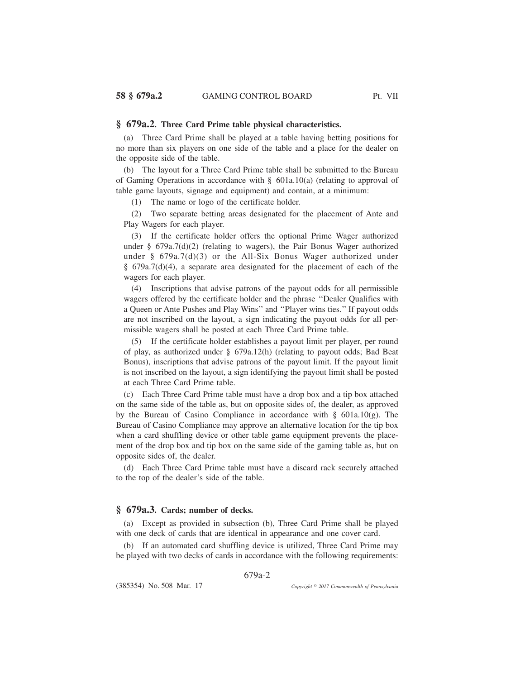## **§ 679a.2. Three Card Prime table physical characteristics.**

(a) Three Card Prime shall be played at a table having betting positions for no more than six players on one side of the table and a place for the dealer on the opposite side of the table.

(b) The layout for a Three Card Prime table shall be submitted to the Bureau of Gaming Operations in accordance with  $\S$  601a.10(a) (relating to approval of table game layouts, signage and equipment) and contain, at a minimum:

(1) The name or logo of the certificate holder.

(2) Two separate betting areas designated for the placement of Ante and Play Wagers for each player.

(3) If the certificate holder offers the optional Prime Wager authorized under § 679a.7(d)(2) (relating to wagers), the Pair Bonus Wager authorized under § 679a.7(d)(3) or the All-Six Bonus Wager authorized under § 679a.7(d)(4), a separate area designated for the placement of each of the wagers for each player.

(4) Inscriptions that advise patrons of the payout odds for all permissible wagers offered by the certificate holder and the phrase ''Dealer Qualifies with a Queen or Ante Pushes and Play Wins'' and ''Player wins ties.'' If payout odds are not inscribed on the layout, a sign indicating the payout odds for all permissible wagers shall be posted at each Three Card Prime table.

(5) If the certificate holder establishes a payout limit per player, per round of play, as authorized under § 679a.12(h) (relating to payout odds; Bad Beat Bonus), inscriptions that advise patrons of the payout limit. If the payout limit is not inscribed on the layout, a sign identifying the payout limit shall be posted at each Three Card Prime table.

(c) Each Three Card Prime table must have a drop box and a tip box attached on the same side of the table as, but on opposite sides of, the dealer, as approved by the Bureau of Casino Compliance in accordance with § 601a.10(g). The Bureau of Casino Compliance may approve an alternative location for the tip box when a card shuffling device or other table game equipment prevents the placement of the drop box and tip box on the same side of the gaming table as, but on opposite sides of, the dealer.

(d) Each Three Card Prime table must have a discard rack securely attached to the top of the dealer's side of the table.

# **§ 679a.3. Cards; number of decks.**

(a) Except as provided in subsection (b), Three Card Prime shall be played with one deck of cards that are identical in appearance and one cover card.

(b) If an automated card shuffling device is utilized, Three Card Prime may be played with two decks of cards in accordance with the following requirements:

679a-2

(385354) No. 508 Mar. 17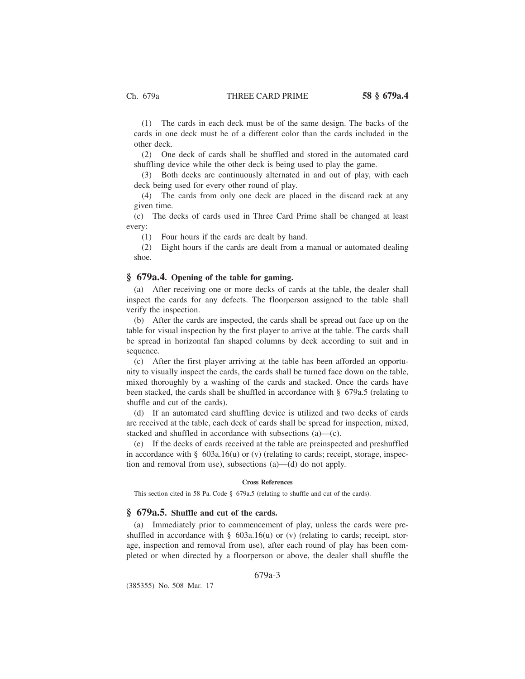(1) The cards in each deck must be of the same design. The backs of the cards in one deck must be of a different color than the cards included in the other deck.

(2) One deck of cards shall be shuffled and stored in the automated card shuffling device while the other deck is being used to play the game.

(3) Both decks are continuously alternated in and out of play, with each deck being used for every other round of play.

(4) The cards from only one deck are placed in the discard rack at any given time.

(c) The decks of cards used in Three Card Prime shall be changed at least every:

(1) Four hours if the cards are dealt by hand.

(2) Eight hours if the cards are dealt from a manual or automated dealing shoe.

# **§ 679a.4. Opening of the table for gaming.**

(a) After receiving one or more decks of cards at the table, the dealer shall inspect the cards for any defects. The floorperson assigned to the table shall verify the inspection.

(b) After the cards are inspected, the cards shall be spread out face up on the table for visual inspection by the first player to arrive at the table. The cards shall be spread in horizontal fan shaped columns by deck according to suit and in sequence.

(c) After the first player arriving at the table has been afforded an opportunity to visually inspect the cards, the cards shall be turned face down on the table, mixed thoroughly by a washing of the cards and stacked. Once the cards have been stacked, the cards shall be shuffled in accordance with § 679a.5 (relating to shuffle and cut of the cards).

(d) If an automated card shuffling device is utilized and two decks of cards are received at the table, each deck of cards shall be spread for inspection, mixed, stacked and shuffled in accordance with subsections (a)—(c).

(e) If the decks of cards received at the table are preinspected and preshuffled in accordance with  $\S$  603a.16(u) or (v) (relating to cards; receipt, storage, inspection and removal from use), subsections (a)—(d) do not apply.

### **Cross References**

This section cited in 58 Pa. Code § 679a.5 (relating to shuffle and cut of the cards).

# **§ 679a.5. Shuffle and cut of the cards.**

(a) Immediately prior to commencement of play, unless the cards were preshuffled in accordance with § 603a.16(u) or (v) (relating to cards; receipt, storage, inspection and removal from use), after each round of play has been completed or when directed by a floorperson or above, the dealer shall shuffle the

679a-3

(385355) No. 508 Mar. 17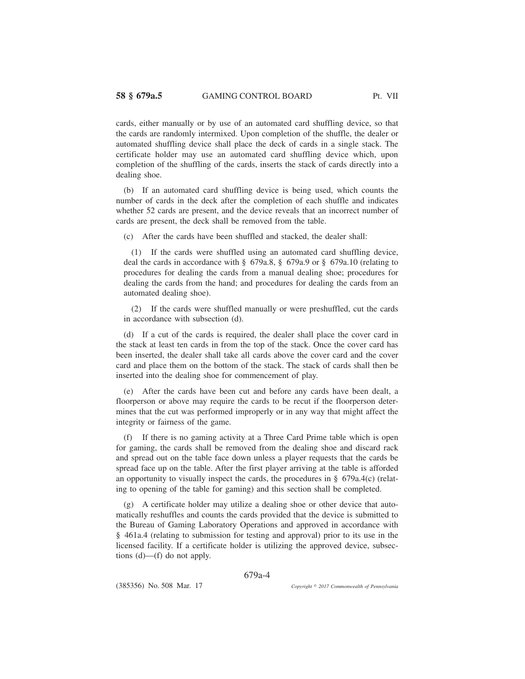cards, either manually or by use of an automated card shuffling device, so that the cards are randomly intermixed. Upon completion of the shuffle, the dealer or automated shuffling device shall place the deck of cards in a single stack. The certificate holder may use an automated card shuffling device which, upon completion of the shuffling of the cards, inserts the stack of cards directly into a dealing shoe.

(b) If an automated card shuffling device is being used, which counts the number of cards in the deck after the completion of each shuffle and indicates whether 52 cards are present, and the device reveals that an incorrect number of cards are present, the deck shall be removed from the table.

(c) After the cards have been shuffled and stacked, the dealer shall:

(1) If the cards were shuffled using an automated card shuffling device, deal the cards in accordance with § 679a.8, § 679a.9 or § 679a.10 (relating to procedures for dealing the cards from a manual dealing shoe; procedures for dealing the cards from the hand; and procedures for dealing the cards from an automated dealing shoe).

(2) If the cards were shuffled manually or were preshuffled, cut the cards in accordance with subsection (d).

(d) If a cut of the cards is required, the dealer shall place the cover card in the stack at least ten cards in from the top of the stack. Once the cover card has been inserted, the dealer shall take all cards above the cover card and the cover card and place them on the bottom of the stack. The stack of cards shall then be inserted into the dealing shoe for commencement of play.

(e) After the cards have been cut and before any cards have been dealt, a floorperson or above may require the cards to be recut if the floorperson determines that the cut was performed improperly or in any way that might affect the integrity or fairness of the game.

(f) If there is no gaming activity at a Three Card Prime table which is open for gaming, the cards shall be removed from the dealing shoe and discard rack and spread out on the table face down unless a player requests that the cards be spread face up on the table. After the first player arriving at the table is afforded an opportunity to visually inspect the cards, the procedures in  $\S$  679a.4(c) (relating to opening of the table for gaming) and this section shall be completed.

(g) A certificate holder may utilize a dealing shoe or other device that automatically reshuffles and counts the cards provided that the device is submitted to the Bureau of Gaming Laboratory Operations and approved in accordance with § 461a.4 (relating to submission for testing and approval) prior to its use in the licensed facility. If a certificate holder is utilizing the approved device, subsections (d)—(f) do not apply.

679a-4

(385356) No. 508 Mar. 17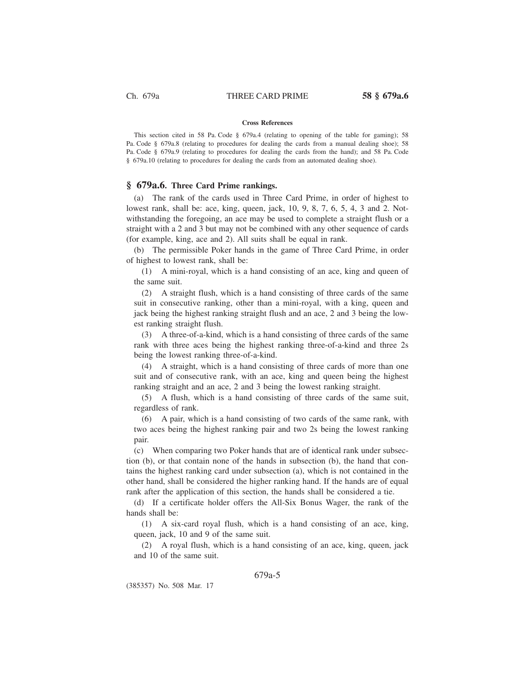### **Cross References**

This section cited in 58 Pa. Code § 679a.4 (relating to opening of the table for gaming); 58 Pa. Code § 679a.8 (relating to procedures for dealing the cards from a manual dealing shoe); 58 Pa. Code § 679a.9 (relating to procedures for dealing the cards from the hand); and 58 Pa. Code § 679a.10 (relating to procedures for dealing the cards from an automated dealing shoe).

## **§ 679a.6. Three Card Prime rankings.**

(a) The rank of the cards used in Three Card Prime, in order of highest to lowest rank, shall be: ace, king, queen, jack, 10, 9, 8, 7, 6, 5, 4, 3 and 2. Notwithstanding the foregoing, an ace may be used to complete a straight flush or a straight with a 2 and 3 but may not be combined with any other sequence of cards (for example, king, ace and 2). All suits shall be equal in rank.

(b) The permissible Poker hands in the game of Three Card Prime, in order of highest to lowest rank, shall be:

(1) A mini-royal, which is a hand consisting of an ace, king and queen of the same suit.

(2) A straight flush, which is a hand consisting of three cards of the same suit in consecutive ranking, other than a mini-royal, with a king, queen and jack being the highest ranking straight flush and an ace, 2 and 3 being the lowest ranking straight flush.

(3) A three-of-a-kind, which is a hand consisting of three cards of the same rank with three aces being the highest ranking three-of-a-kind and three 2s being the lowest ranking three-of-a-kind.

(4) A straight, which is a hand consisting of three cards of more than one suit and of consecutive rank, with an ace, king and queen being the highest ranking straight and an ace, 2 and 3 being the lowest ranking straight.

(5) A flush, which is a hand consisting of three cards of the same suit, regardless of rank.

(6) A pair, which is a hand consisting of two cards of the same rank, with two aces being the highest ranking pair and two 2s being the lowest ranking pair.

(c) When comparing two Poker hands that are of identical rank under subsection (b), or that contain none of the hands in subsection (b), the hand that contains the highest ranking card under subsection (a), which is not contained in the other hand, shall be considered the higher ranking hand. If the hands are of equal rank after the application of this section, the hands shall be considered a tie.

(d) If a certificate holder offers the All-Six Bonus Wager, the rank of the hands shall be:

(1) A six-card royal flush, which is a hand consisting of an ace, king, queen, jack, 10 and 9 of the same suit.

(2) A royal flush, which is a hand consisting of an ace, king, queen, jack and 10 of the same suit.

# 679a-5

(385357) No. 508 Mar. 17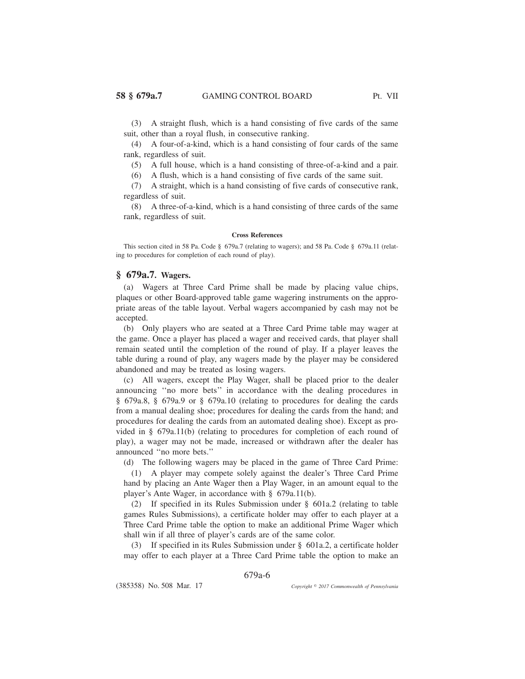(3) A straight flush, which is a hand consisting of five cards of the same suit, other than a royal flush, in consecutive ranking.

(4) A four-of-a-kind, which is a hand consisting of four cards of the same rank, regardless of suit.

(5) A full house, which is a hand consisting of three-of-a-kind and a pair.

(6) A flush, which is a hand consisting of five cards of the same suit.

(7) A straight, which is a hand consisting of five cards of consecutive rank, regardless of suit.

(8) A three-of-a-kind, which is a hand consisting of three cards of the same rank, regardless of suit.

### **Cross References**

This section cited in 58 Pa. Code § 679a.7 (relating to wagers); and 58 Pa. Code § 679a.11 (relating to procedures for completion of each round of play).

# **§ 679a.7. Wagers.**

(a) Wagers at Three Card Prime shall be made by placing value chips, plaques or other Board-approved table game wagering instruments on the appropriate areas of the table layout. Verbal wagers accompanied by cash may not be accepted.

(b) Only players who are seated at a Three Card Prime table may wager at the game. Once a player has placed a wager and received cards, that player shall remain seated until the completion of the round of play. If a player leaves the table during a round of play, any wagers made by the player may be considered abandoned and may be treated as losing wagers.

(c) All wagers, except the Play Wager, shall be placed prior to the dealer announcing ''no more bets'' in accordance with the dealing procedures in § 679a.8, § 679a.9 or § 679a.10 (relating to procedures for dealing the cards from a manual dealing shoe; procedures for dealing the cards from the hand; and procedures for dealing the cards from an automated dealing shoe). Except as provided in § 679a.11(b) (relating to procedures for completion of each round of play), a wager may not be made, increased or withdrawn after the dealer has announced ''no more bets.''

(d) The following wagers may be placed in the game of Three Card Prime:

(1) A player may compete solely against the dealer's Three Card Prime hand by placing an Ante Wager then a Play Wager, in an amount equal to the player's Ante Wager, in accordance with § 679a.11(b).

(2) If specified in its Rules Submission under § 601a.2 (relating to table games Rules Submissions), a certificate holder may offer to each player at a Three Card Prime table the option to make an additional Prime Wager which shall win if all three of player's cards are of the same color.

(3) If specified in its Rules Submission under § 601a.2, a certificate holder may offer to each player at a Three Card Prime table the option to make an

679a-6

(385358) No. 508 Mar. 17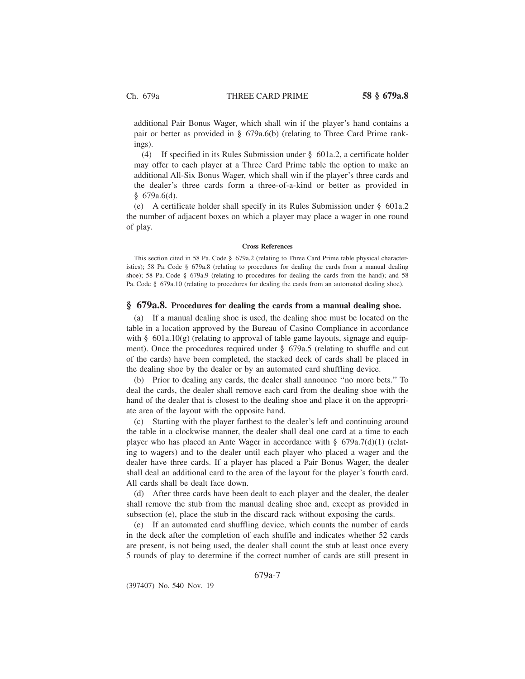additional Pair Bonus Wager, which shall win if the player's hand contains a pair or better as provided in § 679a.6(b) (relating to Three Card Prime rankings).

(4) If specified in its Rules Submission under § 601a.2, a certificate holder may offer to each player at a Three Card Prime table the option to make an additional All-Six Bonus Wager, which shall win if the player's three cards and the dealer's three cards form a three-of-a-kind or better as provided in  $§ 679a.6(d).$ 

(e) A certificate holder shall specify in its Rules Submission under § 601a.2 the number of adjacent boxes on which a player may place a wager in one round of play.

### **Cross References**

This section cited in 58 Pa. Code § 679a.2 (relating to Three Card Prime table physical characteristics); 58 Pa. Code § 679a.8 (relating to procedures for dealing the cards from a manual dealing shoe); 58 Pa. Code § 679a.9 (relating to procedures for dealing the cards from the hand); and 58 Pa. Code § 679a.10 (relating to procedures for dealing the cards from an automated dealing shoe).

## **§ 679a.8. Procedures for dealing the cards from a manual dealing shoe.**

(a) If a manual dealing shoe is used, the dealing shoe must be located on the table in a location approved by the Bureau of Casino Compliance in accordance with § 601a.10(g) (relating to approval of table game layouts, signage and equipment). Once the procedures required under § 679a.5 (relating to shuffle and cut of the cards) have been completed, the stacked deck of cards shall be placed in the dealing shoe by the dealer or by an automated card shuffling device.

(b) Prior to dealing any cards, the dealer shall announce ''no more bets.'' To deal the cards, the dealer shall remove each card from the dealing shoe with the hand of the dealer that is closest to the dealing shoe and place it on the appropriate area of the layout with the opposite hand.

(c) Starting with the player farthest to the dealer's left and continuing around the table in a clockwise manner, the dealer shall deal one card at a time to each player who has placed an Ante Wager in accordance with § 679a.7(d)(1) (relating to wagers) and to the dealer until each player who placed a wager and the dealer have three cards. If a player has placed a Pair Bonus Wager, the dealer shall deal an additional card to the area of the layout for the player's fourth card. All cards shall be dealt face down.

(d) After three cards have been dealt to each player and the dealer, the dealer shall remove the stub from the manual dealing shoe and, except as provided in subsection (e), place the stub in the discard rack without exposing the cards.

(e) If an automated card shuffling device, which counts the number of cards in the deck after the completion of each shuffle and indicates whether 52 cards are present, is not being used, the dealer shall count the stub at least once every 5 rounds of play to determine if the correct number of cards are still present in

679a-7

(397407) No. 540 Nov. 19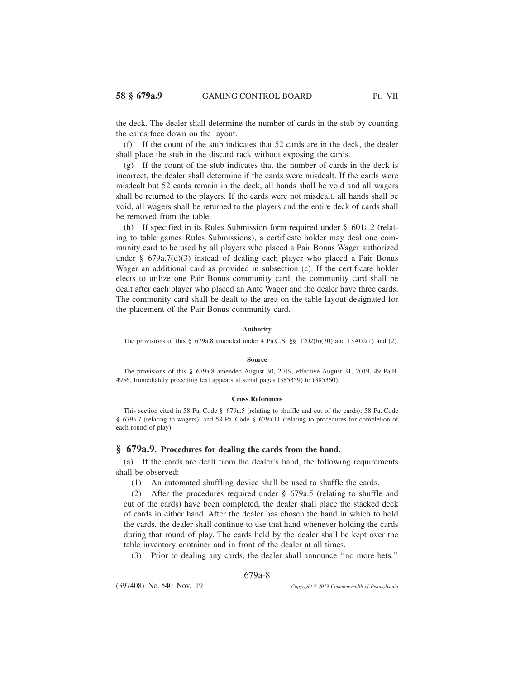the deck. The dealer shall determine the number of cards in the stub by counting the cards face down on the layout.

(f) If the count of the stub indicates that 52 cards are in the deck, the dealer shall place the stub in the discard rack without exposing the cards.

(g) If the count of the stub indicates that the number of cards in the deck is incorrect, the dealer shall determine if the cards were misdealt. If the cards were misdealt but 52 cards remain in the deck, all hands shall be void and all wagers shall be returned to the players. If the cards were not misdealt, all hands shall be void, all wagers shall be returned to the players and the entire deck of cards shall be removed from the table.

(h) If specified in its Rules Submission form required under § 601a.2 (relating to table games Rules Submissions), a certificate holder may deal one community card to be used by all players who placed a Pair Bonus Wager authorized under § 679a.7(d)(3) instead of dealing each player who placed a Pair Bonus Wager an additional card as provided in subsection (c). If the certificate holder elects to utilize one Pair Bonus community card, the community card shall be dealt after each player who placed an Ante Wager and the dealer have three cards. The community card shall be dealt to the area on the table layout designated for the placement of the Pair Bonus community card.

#### **Authority**

The provisions of this  $\S$  679a.8 amended under 4 Pa.C.S.  $\S$  1202(b)(30) and 13A02(1) and (2).

#### **Source**

The provisions of this § 679a.8 amended August 30, 2019, effective August 31, 2019, 49 Pa.B. 4956. Immediately preceding text appears at serial pages (385359) to (385360).

### **Cross References**

This section cited in 58 Pa. Code § 679a.5 (relating to shuffle and cut of the cards); 58 Pa. Code § 679a.7 (relating to wagers); and 58 Pa. Code § 679a.11 (relating to procedures for completion of each round of play).

## **§ 679a.9. Procedures for dealing the cards from the hand.**

(a) If the cards are dealt from the dealer's hand, the following requirements shall be observed:

(1) An automated shuffling device shall be used to shuffle the cards.

(2) After the procedures required under § 679a.5 (relating to shuffle and cut of the cards) have been completed, the dealer shall place the stacked deck of cards in either hand. After the dealer has chosen the hand in which to hold the cards, the dealer shall continue to use that hand whenever holding the cards during that round of play. The cards held by the dealer shall be kept over the table inventory container and in front of the dealer at all times.

(3) Prior to dealing any cards, the dealer shall announce ''no more bets.''

## 679a-8

(397408) No. 540 Nov. 19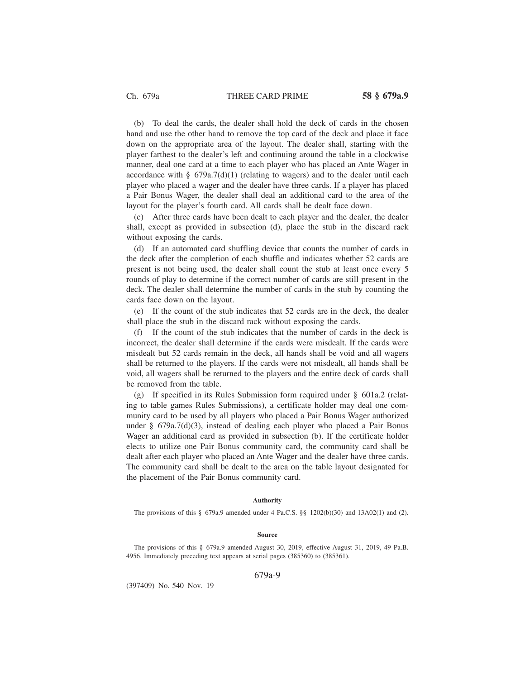(b) To deal the cards, the dealer shall hold the deck of cards in the chosen hand and use the other hand to remove the top card of the deck and place it face down on the appropriate area of the layout. The dealer shall, starting with the player farthest to the dealer's left and continuing around the table in a clockwise manner, deal one card at a time to each player who has placed an Ante Wager in accordance with  $\S$  679a.7(d)(1) (relating to wagers) and to the dealer until each player who placed a wager and the dealer have three cards. If a player has placed a Pair Bonus Wager, the dealer shall deal an additional card to the area of the layout for the player's fourth card. All cards shall be dealt face down.

(c) After three cards have been dealt to each player and the dealer, the dealer shall, except as provided in subsection (d), place the stub in the discard rack without exposing the cards.

(d) If an automated card shuffling device that counts the number of cards in the deck after the completion of each shuffle and indicates whether 52 cards are present is not being used, the dealer shall count the stub at least once every 5 rounds of play to determine if the correct number of cards are still present in the deck. The dealer shall determine the number of cards in the stub by counting the cards face down on the layout.

(e) If the count of the stub indicates that 52 cards are in the deck, the dealer shall place the stub in the discard rack without exposing the cards.

If the count of the stub indicates that the number of cards in the deck is incorrect, the dealer shall determine if the cards were misdealt. If the cards were misdealt but 52 cards remain in the deck, all hands shall be void and all wagers shall be returned to the players. If the cards were not misdealt, all hands shall be void, all wagers shall be returned to the players and the entire deck of cards shall be removed from the table.

(g) If specified in its Rules Submission form required under § 601a.2 (relating to table games Rules Submissions), a certificate holder may deal one community card to be used by all players who placed a Pair Bonus Wager authorized under § 679a.7(d)(3), instead of dealing each player who placed a Pair Bonus Wager an additional card as provided in subsection (b). If the certificate holder elects to utilize one Pair Bonus community card, the community card shall be dealt after each player who placed an Ante Wager and the dealer have three cards. The community card shall be dealt to the area on the table layout designated for the placement of the Pair Bonus community card.

### **Authority**

The provisions of this § 679a.9 amended under 4 Pa.C.S. §§ 1202(b)(30) and 13A02(1) and (2).

#### **Source**

The provisions of this § 679a.9 amended August 30, 2019, effective August 31, 2019, 49 Pa.B. 4956. Immediately preceding text appears at serial pages (385360) to (385361).

679a-9

(397409) No. 540 Nov. 19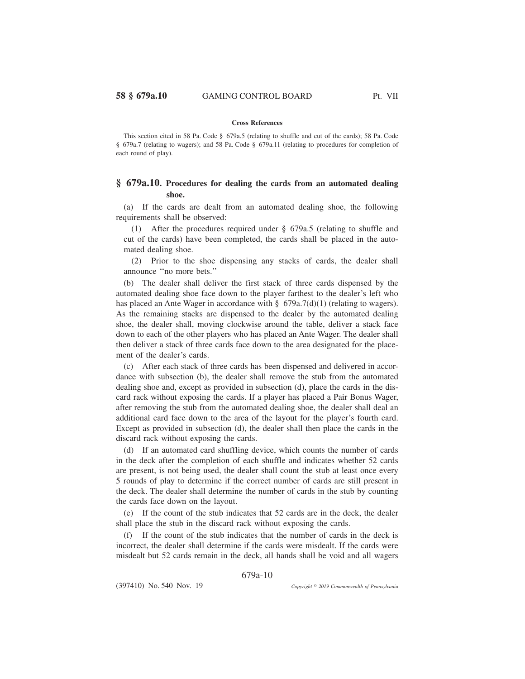### **Cross References**

This section cited in 58 Pa. Code § 679a.5 (relating to shuffle and cut of the cards); 58 Pa. Code § 679a.7 (relating to wagers); and 58 Pa. Code § 679a.11 (relating to procedures for completion of each round of play).

# **§ 679a.10. Procedures for dealing the cards from an automated dealing shoe.**

(a) If the cards are dealt from an automated dealing shoe, the following requirements shall be observed:

(1) After the procedures required under § 679a.5 (relating to shuffle and cut of the cards) have been completed, the cards shall be placed in the automated dealing shoe.

(2) Prior to the shoe dispensing any stacks of cards, the dealer shall announce ''no more bets.''

(b) The dealer shall deliver the first stack of three cards dispensed by the automated dealing shoe face down to the player farthest to the dealer's left who has placed an Ante Wager in accordance with  $\S$  679a.7(d)(1) (relating to wagers). As the remaining stacks are dispensed to the dealer by the automated dealing shoe, the dealer shall, moving clockwise around the table, deliver a stack face down to each of the other players who has placed an Ante Wager. The dealer shall then deliver a stack of three cards face down to the area designated for the placement of the dealer's cards.

(c) After each stack of three cards has been dispensed and delivered in accordance with subsection (b), the dealer shall remove the stub from the automated dealing shoe and, except as provided in subsection (d), place the cards in the discard rack without exposing the cards. If a player has placed a Pair Bonus Wager, after removing the stub from the automated dealing shoe, the dealer shall deal an additional card face down to the area of the layout for the player's fourth card. Except as provided in subsection (d), the dealer shall then place the cards in the discard rack without exposing the cards.

(d) If an automated card shuffling device, which counts the number of cards in the deck after the completion of each shuffle and indicates whether 52 cards are present, is not being used, the dealer shall count the stub at least once every 5 rounds of play to determine if the correct number of cards are still present in the deck. The dealer shall determine the number of cards in the stub by counting the cards face down on the layout.

(e) If the count of the stub indicates that 52 cards are in the deck, the dealer shall place the stub in the discard rack without exposing the cards.

(f) If the count of the stub indicates that the number of cards in the deck is incorrect, the dealer shall determine if the cards were misdealt. If the cards were misdealt but 52 cards remain in the deck, all hands shall be void and all wagers

679a-10

(397410) No. 540 Nov. 19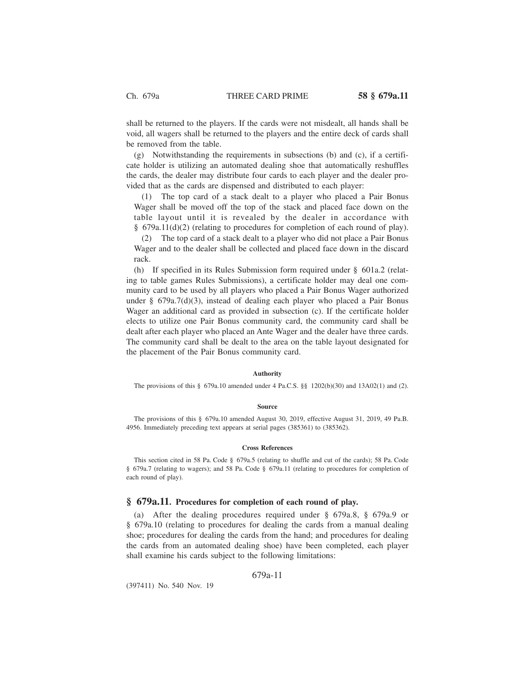shall be returned to the players. If the cards were not misdealt, all hands shall be void, all wagers shall be returned to the players and the entire deck of cards shall be removed from the table.

(g) Notwithstanding the requirements in subsections (b) and (c), if a certificate holder is utilizing an automated dealing shoe that automatically reshuffles the cards, the dealer may distribute four cards to each player and the dealer provided that as the cards are dispensed and distributed to each player:

(1) The top card of a stack dealt to a player who placed a Pair Bonus Wager shall be moved off the top of the stack and placed face down on the table layout until it is revealed by the dealer in accordance with § 679a.11(d)(2) (relating to procedures for completion of each round of play).

(2) The top card of a stack dealt to a player who did not place a Pair Bonus Wager and to the dealer shall be collected and placed face down in the discard rack.

(h) If specified in its Rules Submission form required under § 601a.2 (relating to table games Rules Submissions), a certificate holder may deal one community card to be used by all players who placed a Pair Bonus Wager authorized under §  $679a.7(d)(3)$ , instead of dealing each player who placed a Pair Bonus Wager an additional card as provided in subsection (c). If the certificate holder elects to utilize one Pair Bonus community card, the community card shall be dealt after each player who placed an Ante Wager and the dealer have three cards. The community card shall be dealt to the area on the table layout designated for the placement of the Pair Bonus community card.

## **Authority**

The provisions of this § 679a.10 amended under 4 Pa.C.S. §§ 1202(b)(30) and 13A02(1) and (2).

#### **Source**

The provisions of this § 679a.10 amended August 30, 2019, effective August 31, 2019, 49 Pa.B. 4956. Immediately preceding text appears at serial pages (385361) to (385362).

#### **Cross References**

This section cited in 58 Pa. Code § 679a.5 (relating to shuffle and cut of the cards); 58 Pa. Code § 679a.7 (relating to wagers); and 58 Pa. Code § 679a.11 (relating to procedures for completion of each round of play).

## **§ 679a.11. Procedures for completion of each round of play.**

(a) After the dealing procedures required under § 679a.8, § 679a.9 or § 679a.10 (relating to procedures for dealing the cards from a manual dealing shoe; procedures for dealing the cards from the hand; and procedures for dealing the cards from an automated dealing shoe) have been completed, each player shall examine his cards subject to the following limitations:

## 679a-11

(397411) No. 540 Nov. 19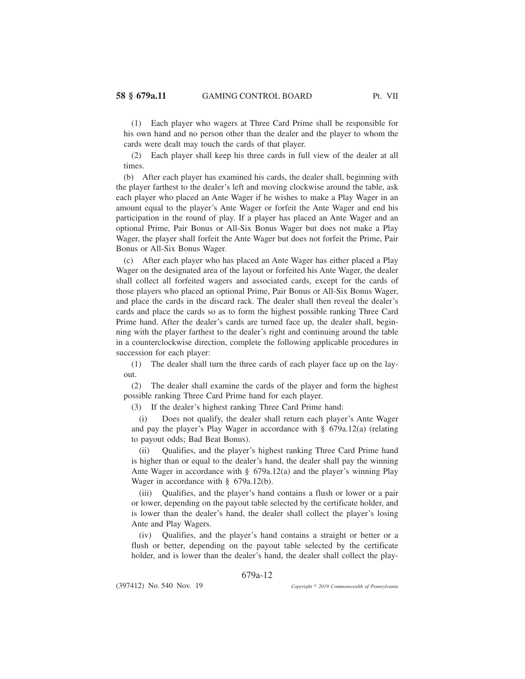(1) Each player who wagers at Three Card Prime shall be responsible for his own hand and no person other than the dealer and the player to whom the cards were dealt may touch the cards of that player.

(2) Each player shall keep his three cards in full view of the dealer at all times.

(b) After each player has examined his cards, the dealer shall, beginning with the player farthest to the dealer's left and moving clockwise around the table, ask each player who placed an Ante Wager if he wishes to make a Play Wager in an amount equal to the player's Ante Wager or forfeit the Ante Wager and end his participation in the round of play. If a player has placed an Ante Wager and an optional Prime, Pair Bonus or All-Six Bonus Wager but does not make a Play Wager, the player shall forfeit the Ante Wager but does not forfeit the Prime, Pair Bonus or All-Six Bonus Wager.

(c) After each player who has placed an Ante Wager has either placed a Play Wager on the designated area of the layout or forfeited his Ante Wager, the dealer shall collect all forfeited wagers and associated cards, except for the cards of those players who placed an optional Prime, Pair Bonus or All-Six Bonus Wager, and place the cards in the discard rack. The dealer shall then reveal the dealer's cards and place the cards so as to form the highest possible ranking Three Card Prime hand. After the dealer's cards are turned face up, the dealer shall, beginning with the player farthest to the dealer's right and continuing around the table in a counterclockwise direction, complete the following applicable procedures in succession for each player:

(1) The dealer shall turn the three cards of each player face up on the layout.

(2) The dealer shall examine the cards of the player and form the highest possible ranking Three Card Prime hand for each player.

(3) If the dealer's highest ranking Three Card Prime hand:

(i) Does not qualify, the dealer shall return each player's Ante Wager and pay the player's Play Wager in accordance with § 679a.12(a) (relating to payout odds; Bad Beat Bonus).

(ii) Qualifies, and the player's highest ranking Three Card Prime hand is higher than or equal to the dealer's hand, the dealer shall pay the winning Ante Wager in accordance with § 679a.12(a) and the player's winning Play Wager in accordance with § 679a.12(b).

(iii) Qualifies, and the player's hand contains a flush or lower or a pair or lower, depending on the payout table selected by the certificate holder, and is lower than the dealer's hand, the dealer shall collect the player's losing Ante and Play Wagers.

(iv) Qualifies, and the player's hand contains a straight or better or a flush or better, depending on the payout table selected by the certificate holder, and is lower than the dealer's hand, the dealer shall collect the play-

# 679a-12

(397412) No. 540 Nov. 19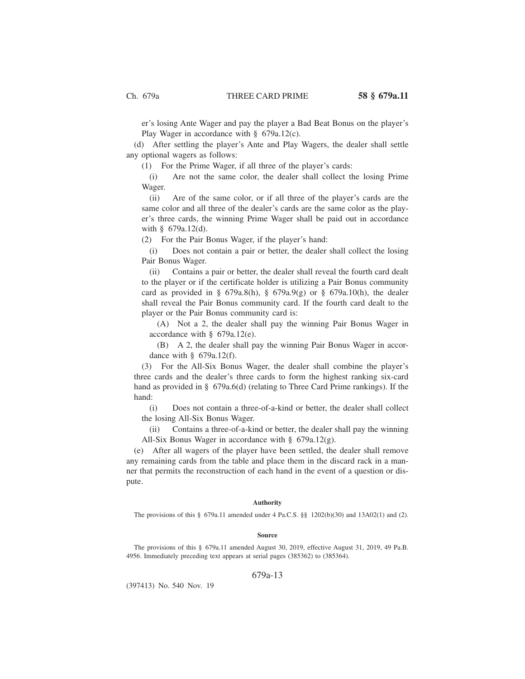er's losing Ante Wager and pay the player a Bad Beat Bonus on the player's Play Wager in accordance with § 679a.12(c).

(d) After settling the player's Ante and Play Wagers, the dealer shall settle any optional wagers as follows:

(1) For the Prime Wager, if all three of the player's cards:

(i) Are not the same color, the dealer shall collect the losing Prime Wager.

(ii) Are of the same color, or if all three of the player's cards are the same color and all three of the dealer's cards are the same color as the player's three cards, the winning Prime Wager shall be paid out in accordance with § 679a.12(d).

(2) For the Pair Bonus Wager, if the player's hand:

(i) Does not contain a pair or better, the dealer shall collect the losing Pair Bonus Wager.

(ii) Contains a pair or better, the dealer shall reveal the fourth card dealt to the player or if the certificate holder is utilizing a Pair Bonus community card as provided in § 679a.8(h), § 679a.9(g) or § 679a.10(h), the dealer shall reveal the Pair Bonus community card. If the fourth card dealt to the player or the Pair Bonus community card is:

(A) Not a 2, the dealer shall pay the winning Pair Bonus Wager in accordance with § 679a.12(e).

(B) A 2, the dealer shall pay the winning Pair Bonus Wager in accordance with § 679a.12(f).

(3) For the All-Six Bonus Wager, the dealer shall combine the player's three cards and the dealer's three cards to form the highest ranking six-card hand as provided in § 679a.6(d) (relating to Three Card Prime rankings). If the hand:

(i) Does not contain a three-of-a-kind or better, the dealer shall collect the losing All-Six Bonus Wager.

(ii) Contains a three-of-a-kind or better, the dealer shall pay the winning All-Six Bonus Wager in accordance with § 679a.12(g).

(e) After all wagers of the player have been settled, the dealer shall remove any remaining cards from the table and place them in the discard rack in a manner that permits the reconstruction of each hand in the event of a question or dispute.

#### **Authority**

The provisions of this § 679a.11 amended under 4 Pa.C.S. §§ 1202(b)(30) and 13A02(1) and (2).

#### **Source**

The provisions of this § 679a.11 amended August 30, 2019, effective August 31, 2019, 49 Pa.B. 4956. Immediately preceding text appears at serial pages (385362) to (385364).

## 679a-13

(397413) No. 540 Nov. 19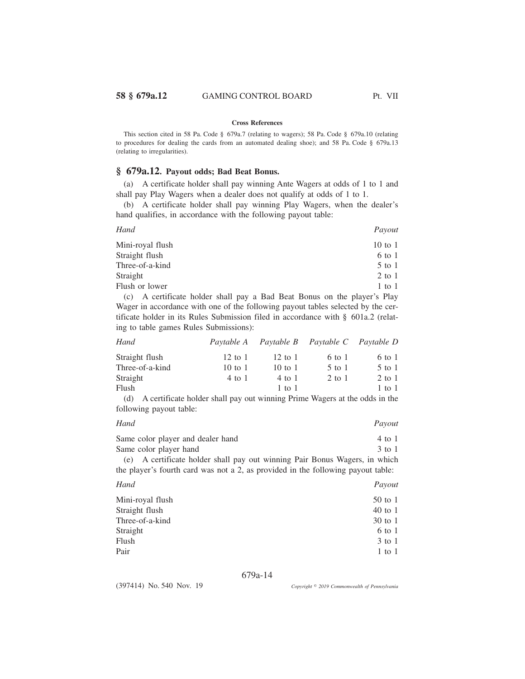## **Cross References**

This section cited in 58 Pa. Code § 679a.7 (relating to wagers); 58 Pa. Code § 679a.10 (relating to procedures for dealing the cards from an automated dealing shoe); and 58 Pa. Code § 679a.13 (relating to irregularities).

# **§ 679a.12. Payout odds; Bad Beat Bonus.**

(a) A certificate holder shall pay winning Ante Wagers at odds of 1 to 1 and shall pay Play Wagers when a dealer does not qualify at odds of 1 to 1.

(b) A certificate holder shall pay winning Play Wagers, when the dealer's hand qualifies, in accordance with the following payout table:

| Hand                                                                     | Payout     |
|--------------------------------------------------------------------------|------------|
| Mini-royal flush                                                         | 10 to 1    |
| Straight flush                                                           | 6 to 1     |
| Three-of-a-kind                                                          | $5$ to $1$ |
| Straight                                                                 | $2$ to $1$ |
| Flush or lower                                                           | $1$ to $1$ |
| (c) A certificate holder shall nay a Rad Reat Ronus on the player's Play |            |

(c) A certificate holder shall pay a Bad Beat Bonus on the player's Play Wager in accordance with one of the following payout tables selected by the certificate holder in its Rules Submission filed in accordance with § 601a.2 (relating to table games Rules Submissions):

| $12 \text{ to } 1$ | $12 \text{ to } 1$ | 6 to 1     | 6 to 1                                      |
|--------------------|--------------------|------------|---------------------------------------------|
| 10 to 1            | $10 \text{ to } 1$ | $5$ to $1$ | $5$ to $1$                                  |
| 4 to 1             | 4 to 1             | 2 to 1     | $2$ to $1$                                  |
|                    | 1 to 1             |            | $1$ to $1$                                  |
|                    |                    |            | Paytable A Paytable B Paytable C Paytable D |

(d) A certificate holder shall pay out winning Prime Wagers at the odds in the following payout table:

| Hand                                                                             | Payout   |
|----------------------------------------------------------------------------------|----------|
| Same color player and dealer hand                                                | 4 to 1   |
| Same color player hand                                                           | $3$ to 1 |
| (e) A certificate holder shall pay out winning Pair Bonus Wagers, in which       |          |
| the player's fourth card was not a 2, as provided in the following payout table: |          |

| Hand             | Payout     |
|------------------|------------|
| Mini-royal flush | $50$ to 1  |
| Straight flush   | $40$ to 1  |
| Three-of-a-kind  | $30$ to 1  |
| Straight         | 6 to 1     |
| Flush            | $3$ to $1$ |
| Pair             | 1 to 1     |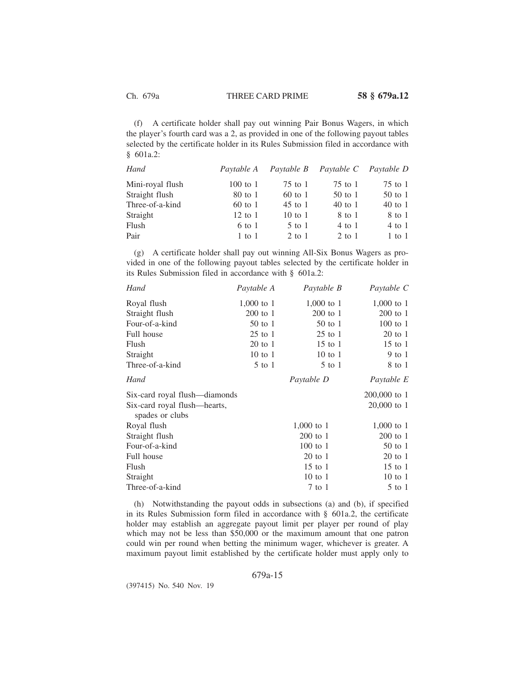(f) A certificate holder shall pay out winning Pair Bonus Wagers, in which the player's fourth card was a 2, as provided in one of the following payout tables selected by the certificate holder in its Rules Submission filed in accordance with § 601a.2:

| Hand             | Paytable A         | Paytable B         | Paytable C | Paytable D |
|------------------|--------------------|--------------------|------------|------------|
| Mini-royal flush | $100$ to $1$       | $75$ to 1          | $75$ to 1  | $75$ to 1  |
| Straight flush   | 80 to 1            | 60 to 1            | $50$ to 1  | $50$ to 1  |
| Three-of-a-kind  | $60$ to 1          | $45$ to 1          | $40$ to 1  | $40$ to 1  |
| Straight         | $12 \text{ to } 1$ | $10 \text{ to } 1$ | 8 to 1     | 8 to 1     |
| Flush            | $6$ to 1           | $5$ to 1           | 4 to 1     | $4$ to 1   |
| Pair             | $1$ to $1$         | 2 to 1             | 2 to 1     | $1$ to $1$ |

(g) A certificate holder shall pay out winning All-Six Bonus Wagers as provided in one of the following payout tables selected by the certificate holder in its Rules Submission filed in accordance with § 601a.2:

| Hand                                            | Paytable A   | Paytable B   | Paytable C   |
|-------------------------------------------------|--------------|--------------|--------------|
| Royal flush                                     | $1,000$ to 1 | $1,000$ to 1 | 1,000 to 1   |
| Straight flush                                  | $200$ to $1$ | $200$ to 1   | $200$ to $1$ |
| Four-of-a-kind                                  | 50 to 1      | $50$ to 1    | $100$ to $1$ |
| Full house                                      | $25$ to 1    | $25$ to 1    | 20 to 1      |
| Flush                                           | $20$ to $1$  | $15$ to $1$  | $15$ to $1$  |
| Straight                                        | $10$ to $1$  | $10$ to $1$  | 9 to 1       |
| Three-of-a-kind                                 | $5$ to $1$   | $5$ to $1$   | 8 to 1       |
| Hand                                            |              | Paytable D   | Paytable E   |
| Six-card royal flush—diamonds                   |              |              | 200,000 to 1 |
| Six-card royal flush—hearts,<br>spades or clubs |              |              | 20,000 to 1  |
| Royal flush                                     |              | $1,000$ to 1 | $1,000$ to 1 |
| Straight flush                                  |              | $200$ to 1   | $200$ to $1$ |
| Four-of-a-kind                                  |              | 100 to 1     | $50$ to $1$  |
| Full house                                      |              | $20$ to 1    | $20$ to $1$  |
| Flush                                           |              | 15 to 1      | $15$ to $1$  |
| Straight                                        |              | $10$ to $1$  | $10$ to $1$  |
| Three-of-a-kind                                 |              | 7 to 1       | $5$ to $1$   |

(h) Notwithstanding the payout odds in subsections (a) and (b), if specified in its Rules Submission form filed in accordance with § 601a.2, the certificate holder may establish an aggregate payout limit per player per round of play which may not be less than \$50,000 or the maximum amount that one patron could win per round when betting the minimum wager, whichever is greater. A maximum payout limit established by the certificate holder must apply only to

## 679a-15

(397415) No. 540 Nov. 19